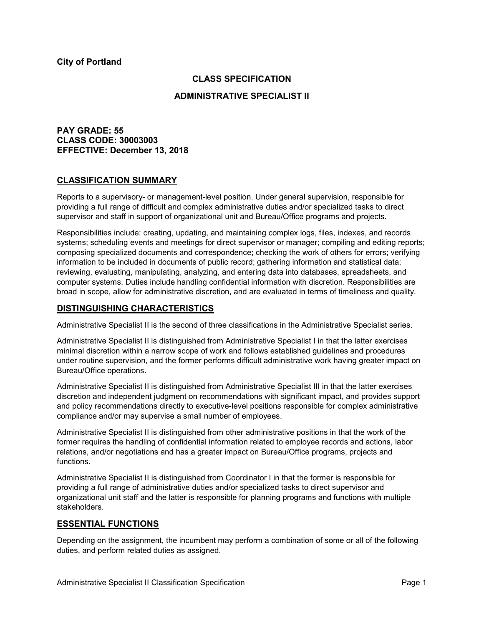# **CLASS SPECIFICATION**

### **ADMINISTRATIVE SPECIALIST II**

# **PAY GRADE: 55 CLASS CODE: 30003003 EFFECTIVE: December 13, 2018**

### **CLASSIFICATION SUMMARY**

Reports to a supervisory- or management-level position. Under general supervision, responsible for providing a full range of difficult and complex administrative duties and/or specialized tasks to direct supervisor and staff in support of organizational unit and Bureau/Office programs and projects.

Responsibilities include: creating, updating, and maintaining complex logs, files, indexes, and records systems; scheduling events and meetings for direct supervisor or manager; compiling and editing reports; composing specialized documents and correspondence; checking the work of others for errors; verifying information to be included in documents of public record; gathering information and statistical data; reviewing, evaluating, manipulating, analyzing, and entering data into databases, spreadsheets, and computer systems. Duties include handling confidential information with discretion. Responsibilities are broad in scope, allow for administrative discretion, and are evaluated in terms of timeliness and quality.

### **DISTINGUISHING CHARACTERISTICS**

Administrative Specialist II is the second of three classifications in the Administrative Specialist series.

Administrative Specialist II is distinguished from Administrative Specialist I in that the latter exercises minimal discretion within a narrow scope of work and follows established guidelines and procedures under routine supervision, and the former performs difficult administrative work having greater impact on Bureau/Office operations.

Administrative Specialist II is distinguished from Administrative Specialist III in that the latter exercises discretion and independent judgment on recommendations with significant impact, and provides support and policy recommendations directly to executive-level positions responsible for complex administrative compliance and/or may supervise a small number of employees.

Administrative Specialist II is distinguished from other administrative positions in that the work of the former requires the handling of confidential information related to employee records and actions, labor relations, and/or negotiations and has a greater impact on Bureau/Office programs, projects and functions.

Administrative Specialist II is distinguished from Coordinator I in that the former is responsible for providing a full range of administrative duties and/or specialized tasks to direct supervisor and organizational unit staff and the latter is responsible for planning programs and functions with multiple stakeholders.

### **ESSENTIAL FUNCTIONS**

Depending on the assignment, the incumbent may perform a combination of some or all of the following duties, and perform related duties as assigned.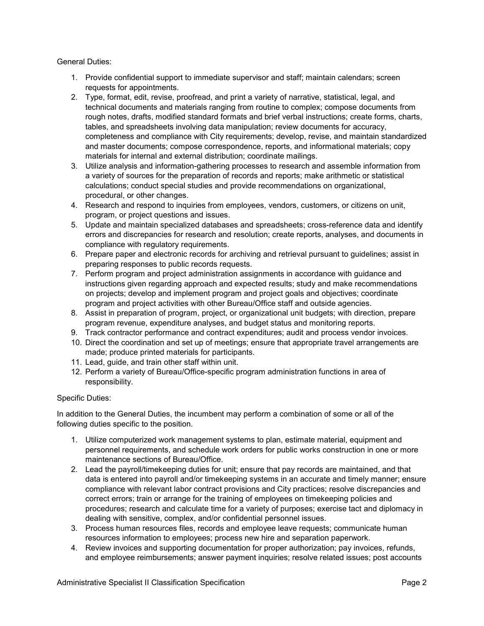General Duties:

- 1. Provide confidential support to immediate supervisor and staff; maintain calendars; screen requests for appointments.
- 2. Type, format, edit, revise, proofread, and print a variety of narrative, statistical, legal, and technical documents and materials ranging from routine to complex; compose documents from rough notes, drafts, modified standard formats and brief verbal instructions; create forms, charts, tables, and spreadsheets involving data manipulation; review documents for accuracy, completeness and compliance with City requirements; develop, revise, and maintain standardized and master documents; compose correspondence, reports, and informational materials; copy materials for internal and external distribution; coordinate mailings.
- 3. Utilize analysis and information-gathering processes to research and assemble information from a variety of sources for the preparation of records and reports; make arithmetic or statistical calculations; conduct special studies and provide recommendations on organizational, procedural, or other changes.
- 4. Research and respond to inquiries from employees, vendors, customers, or citizens on unit, program, or project questions and issues.
- 5. Update and maintain specialized databases and spreadsheets; cross-reference data and identify errors and discrepancies for research and resolution; create reports, analyses, and documents in compliance with regulatory requirements.
- 6. Prepare paper and electronic records for archiving and retrieval pursuant to guidelines; assist in preparing responses to public records requests.
- 7. Perform program and project administration assignments in accordance with guidance and instructions given regarding approach and expected results; study and make recommendations on projects; develop and implement program and project goals and objectives; coordinate program and project activities with other Bureau/Office staff and outside agencies.
- 8. Assist in preparation of program, project, or organizational unit budgets; with direction, prepare program revenue, expenditure analyses, and budget status and monitoring reports.
- 9. Track contractor performance and contract expenditures; audit and process vendor invoices.
- 10. Direct the coordination and set up of meetings; ensure that appropriate travel arrangements are made; produce printed materials for participants.
- 11. Lead, guide, and train other staff within unit.
- 12. Perform a variety of Bureau/Office-specific program administration functions in area of responsibility.

### Specific Duties:

In addition to the General Duties, the incumbent may perform a combination of some or all of the following duties specific to the position.

- 1. Utilize computerized work management systems to plan, estimate material, equipment and personnel requirements, and schedule work orders for public works construction in one or more maintenance sections of Bureau/Office.
- 2. Lead the payroll/timekeeping duties for unit; ensure that pay records are maintained, and that data is entered into payroll and/or timekeeping systems in an accurate and timely manner; ensure compliance with relevant labor contract provisions and City practices; resolve discrepancies and correct errors; train or arrange for the training of employees on timekeeping policies and procedures; research and calculate time for a variety of purposes; exercise tact and diplomacy in dealing with sensitive, complex, and/or confidential personnel issues.
- 3. Process human resources files, records and employee leave requests; communicate human resources information to employees; process new hire and separation paperwork.
- 4. Review invoices and supporting documentation for proper authorization; pay invoices, refunds, and employee reimbursements; answer payment inquiries; resolve related issues; post accounts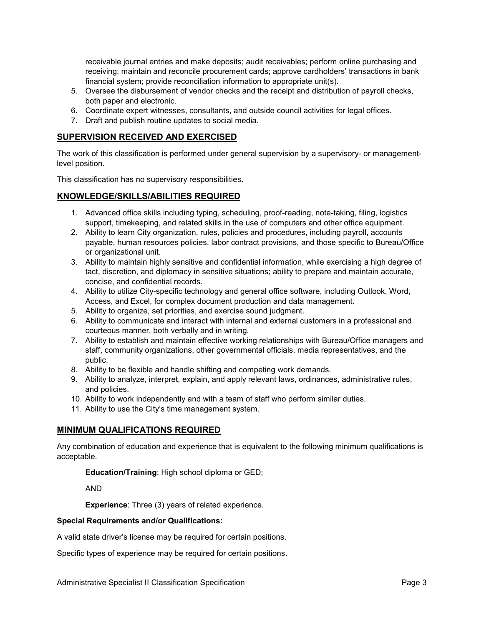receivable journal entries and make deposits; audit receivables; perform online purchasing and receiving; maintain and reconcile procurement cards; approve cardholders' transactions in bank financial system; provide reconciliation information to appropriate unit(s).

- 5. Oversee the disbursement of vendor checks and the receipt and distribution of payroll checks, both paper and electronic.
- 6. Coordinate expert witnesses, consultants, and outside council activities for legal offices.
- 7. Draft and publish routine updates to social media.

# **SUPERVISION RECEIVED AND EXERCISED**

The work of this classification is performed under general supervision by a supervisory- or managementlevel position.

This classification has no supervisory responsibilities.

#### **KNOWLEDGE/SKILLS/ABILITIES REQUIRED**

- 1. Advanced office skills including typing, scheduling, proof-reading, note-taking, filing, logistics support, timekeeping, and related skills in the use of computers and other office equipment.
- 2. Ability to learn City organization, rules, policies and procedures, including payroll, accounts payable, human resources policies, labor contract provisions, and those specific to Bureau/Office or organizational unit.
- 3. Ability to maintain highly sensitive and confidential information, while exercising a high degree of tact, discretion, and diplomacy in sensitive situations; ability to prepare and maintain accurate, concise, and confidential records.
- 4. Ability to utilize City-specific technology and general office software, including Outlook, Word, Access, and Excel, for complex document production and data management.
- 5. Ability to organize, set priorities, and exercise sound judgment.
- 6. Ability to communicate and interact with internal and external customers in a professional and courteous manner, both verbally and in writing.
- 7. Ability to establish and maintain effective working relationships with Bureau/Office managers and staff, community organizations, other governmental officials, media representatives, and the public.
- 8. Ability to be flexible and handle shifting and competing work demands.
- 9. Ability to analyze, interpret, explain, and apply relevant laws, ordinances, administrative rules, and policies.
- 10. Ability to work independently and with a team of staff who perform similar duties.
- 11. Ability to use the City's time management system.

### **MINIMUM QUALIFICATIONS REQUIRED**

Any combination of education and experience that is equivalent to the following minimum qualifications is acceptable.

**Education/Training**: High school diploma or GED;

AND

**Experience**: Three (3) years of related experience.

#### **Special Requirements and/or Qualifications:**

A valid state driver's license may be required for certain positions.

Specific types of experience may be required for certain positions.